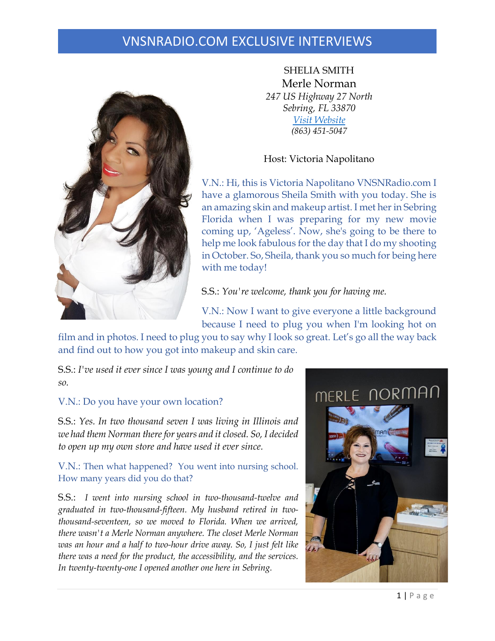### VNSNRADIO.COM EXCLUSIVE INTERVIEWS



SHELIA SMITH Merle Norman *247 US Highway 27 North Sebring, FL 33870 Visit [Website](https://www.facebook.com/MerleNormanCosmeticsSebringFL/) (863) 451-5047*

### Host: Victoria Napolitano

V.N.: Hi, this is Victoria Napolitano VNSNRadio.com I have a glamorous Sheila Smith with you today. She is an amazing skin and makeup artist. I met her in Sebring Florida when I was preparing for my new movie coming up, 'Ageless'. Now, she's going to be there to help me look fabulous for the day that I do my shooting in October. So, Sheila, thank you so much for being here with me today!

S.S.: *You're welcome, thank you for having me.* 

V.N.: Now I want to give everyone a little background because I need to plug you when I'm looking hot on

film and in photos. I need to plug you to say why I look so great. Let's go all the way back and find out to how you got into makeup and skin care.

S.S.: *I've used it ever since I was young and I continue to do so.* 

### V.N.: Do you have your own location?

S.S.: *Yes. In two thousand seven I was living in Illinois and we had them Norman there for years and it closed. So, I decided to open up my own store and have used it ever since.*

V.N.: Then what happened? You went into nursing school. How many years did you do that?

S.S.: *I went into nursing school in two-thousand-twelve and graduated in two-thousand-fifteen. My husband retired in twothousand-seventeen, so we moved to Florida. When we arrived, there wasn't a Merle Norman anywhere. The closet Merle Norman was an hour and a half to two-hour drive away. So, I just felt like there was a need for the product, the accessibility, and the services. In twenty-twenty-one I opened another one here in Sebring.*

# MERLE NORMAN

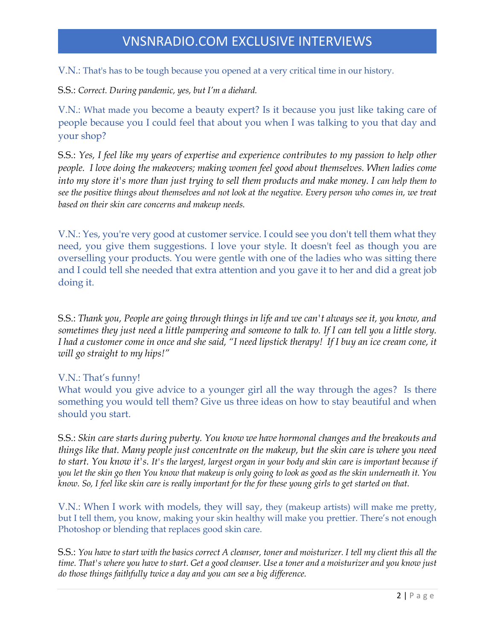## VNSNRADIO.COM EXCLUSIVE INTERVIEWS

V.N.: That's has to be tough because you opened at a very critical time in our history.

S.S.: *Correct. During pandemic, yes, but I'm a diehard.*

V.N.: What made you become a beauty expert? Is it because you just like taking care of people because you I could feel that about you when I was talking to you that day and your shop?

S.S.: *Yes, I feel like my years of expertise and experience contributes to my passion to help other people. I love doing the makeovers; making women feel good about themselves. When ladies come into my store it's more than just trying to sell them products and make money. I can help them to* see the positive things about themselves and not look at the negative. Every person who comes in, we treat *based on their skin care concerns and makeup needs.*

V.N.: Yes, you're very good at customer service. I could see you don't tell them what they need, you give them suggestions. I love your style. It doesn't feel as though you are overselling your products. You were gentle with one of the ladies who was sitting there and I could tell she needed that extra attention and you gave it to her and did a great job doing it.

S.S.: *Thank you, People are going through things in life and we can't always see it, you know, and sometimes they just need a little pampering and someone to talk to. If I can tell you a little story. I had a customer come in once and she said, "I need lipstick therapy! If I buy an ice cream cone, it will go straight to my hips!"*

V.N.: That's funny!

What would you give advice to a younger girl all the way through the ages? Is there something you would tell them? Give us three ideas on how to stay beautiful and when should you start.

S.S.: *Skin care starts during puberty. You know we have hormonal changes and the breakouts and things like that. Many people just concentrate on the makeup, but the skin care is where you need to start. You know it's. It's the largest, largest organ in your body and skin care is important because if* you let the skin go then You know that makeup is only going to look as good as the skin underneath it. You know. So, I feel like skin care is really important for the for these young girls to get started on that.

V.N.: When I work with models, they will say, they (makeup artists) will make me pretty, but I tell them, you know, making your skin healthy will make you prettier. There's not enough Photoshop or blending that replaces good skin care.

S.S.: You have to start with the basics correct A cleanser, toner and moisturizer. I tell my client this all the time. That's where you have to start. Get a good cleanser. Use a toner and a moisturizer and you know just *do those things faithfully twice a day and you can see a big difference.*